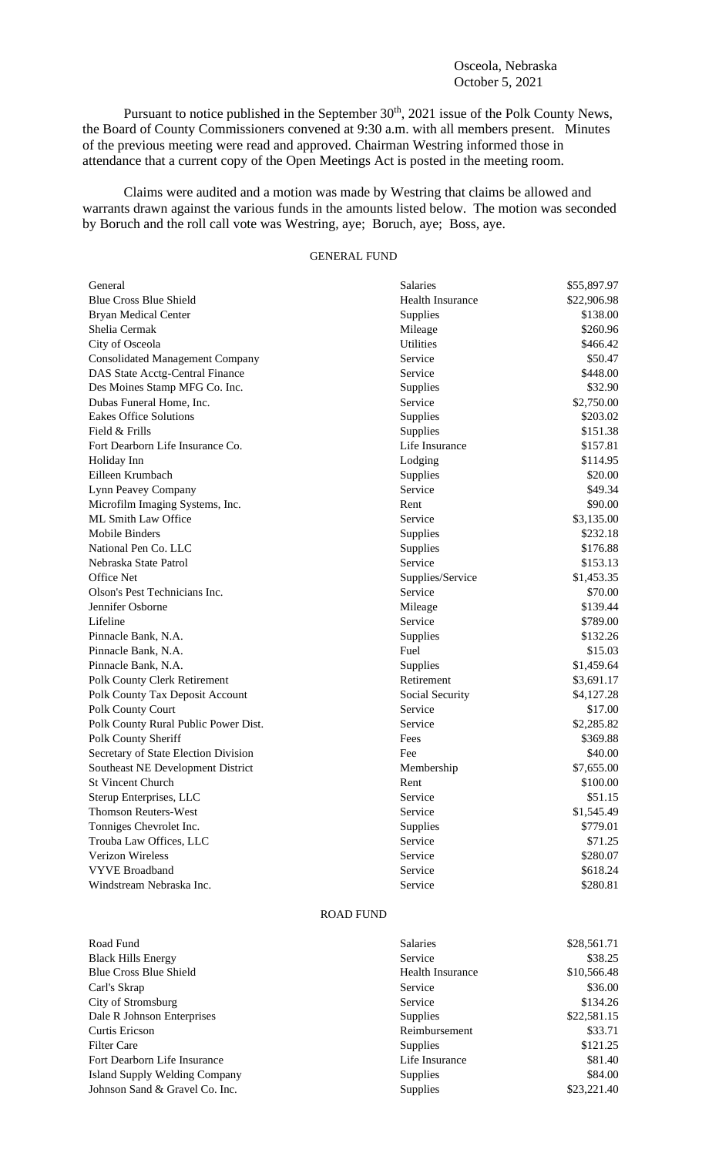## Osceola, Nebraska October 5, 2021

Pursuant to notice published in the September 30<sup>th</sup>, 2021 issue of the Polk County News, the Board of County Commissioners convened at 9:30 a.m. with all members present. Minutes of the previous meeting were read and approved. Chairman Westring informed those in attendance that a current copy of the Open Meetings Act is posted in the meeting room.

Claims were audited and a motion was made by Westring that claims be allowed and warrants drawn against the various funds in the amounts listed below. The motion was seconded by Boruch and the roll call vote was Westring, aye; Boruch, aye; Boss, aye.

## GENERAL FUND

| General                                | Salaries         | \$55,897.97 |
|----------------------------------------|------------------|-------------|
| <b>Blue Cross Blue Shield</b>          | Health Insurance | \$22,906.98 |
| <b>Bryan Medical Center</b>            | Supplies         | \$138.00    |
| Shelia Cermak                          | Mileage          | \$260.96    |
| City of Osceola                        | Utilities        | \$466.42    |
| <b>Consolidated Management Company</b> | Service          | \$50.47     |
| DAS State Acctg-Central Finance        | Service          | \$448.00    |
| Des Moines Stamp MFG Co. Inc.          | Supplies         | \$32.90     |
| Dubas Funeral Home, Inc.               | Service          | \$2,750.00  |
| <b>Eakes Office Solutions</b>          | Supplies         | \$203.02    |
| Field & Frills                         | Supplies         | \$151.38    |
| Fort Dearborn Life Insurance Co.       | Life Insurance   | \$157.81    |
| Holiday Inn                            | Lodging          | \$114.95    |
| Eilleen Krumbach                       | Supplies         | \$20.00     |
| Lynn Peavey Company                    | Service          | \$49.34     |
| Microfilm Imaging Systems, Inc.        | Rent             | \$90.00     |
| ML Smith Law Office                    | Service          | \$3,135.00  |
| <b>Mobile Binders</b>                  | Supplies         | \$232.18    |
| National Pen Co. LLC                   | Supplies         | \$176.88    |
| Nebraska State Patrol                  | Service          | \$153.13    |
| Office Net                             | Supplies/Service | \$1,453.35  |
| Olson's Pest Technicians Inc.          | Service          | \$70.00     |
| Jennifer Osborne                       | Mileage          | \$139.44    |
| Lifeline                               | Service          | \$789.00    |
| Pinnacle Bank, N.A.                    | Supplies         | \$132.26    |
| Pinnacle Bank, N.A.                    | Fuel             | \$15.03     |
| Pinnacle Bank, N.A.                    | Supplies         | \$1,459.64  |
| Polk County Clerk Retirement           | Retirement       | \$3,691.17  |
| Polk County Tax Deposit Account        | Social Security  | \$4,127.28  |
| Polk County Court                      | Service          | \$17.00     |
| Polk County Rural Public Power Dist.   | Service          | \$2,285.82  |
| Polk County Sheriff                    | Fees             | \$369.88    |
| Secretary of State Election Division   | Fee              | \$40.00     |
| Southeast NE Development District      | Membership       | \$7,655.00  |
| <b>St Vincent Church</b>               | Rent             | \$100.00    |
| Sterup Enterprises, LLC                | Service          | \$51.15     |
| <b>Thomson Reuters-West</b>            | Service          | \$1,545.49  |
| Tonniges Chevrolet Inc.                | Supplies         | \$779.01    |
| Trouba Law Offices, LLC                | Service          | \$71.25     |
| Verizon Wireless                       | Service          | \$280.07    |
| <b>VYVE Broadband</b>                  | Service          | \$618.24    |
| Windstream Nebraska Inc.               | Service          | \$280.81    |

## ROAD FUND

| Road Fund                      | <b>Salaries</b>         | \$28,561.71 |
|--------------------------------|-------------------------|-------------|
| <b>Black Hills Energy</b>      | Service                 | \$38.25     |
| Blue Cross Blue Shield         | <b>Health Insurance</b> | \$10,566.48 |
| Carl's Skrap                   | Service                 | \$36.00     |
| City of Stromsburg             | Service                 | \$134.26    |
| Dale R Johnson Enterprises     | Supplies                | \$22,581.15 |
| Curtis Ericson                 | Reimbursement           | \$33.71     |
| <b>Filter Care</b>             | <b>Supplies</b>         | \$121.25    |
| Fort Dearborn Life Insurance   | Life Insurance          | \$81.40     |
| Island Supply Welding Company  | Supplies                | \$84.00     |
| Johnson Sand & Gravel Co. Inc. | <b>Supplies</b>         | \$23,221.40 |

|                                      | oaiai ivo               | 440.001.11  |
|--------------------------------------|-------------------------|-------------|
| <b>Black Hills Energy</b>            | Service                 | \$38.25     |
| <b>Blue Cross Blue Shield</b>        | <b>Health Insurance</b> | \$10,566.48 |
| Carl's Skrap                         | Service                 | \$36.00     |
| City of Stromsburg                   | Service                 | \$134.26    |
| Dale R Johnson Enterprises           | <b>Supplies</b>         | \$22,581.15 |
| Curtis Ericson                       | Reimbursement           | \$33.71     |
| Filter Care                          | <b>Supplies</b>         | \$121.25    |
| Fort Dearborn Life Insurance         | Life Insurance          | \$81.40     |
| <b>Island Supply Welding Company</b> | Supplies                | \$84.00     |
| Johnson Sand & Gravel Co. Inc.       | <b>Supplies</b>         | \$23,221.40 |
|                                      |                         |             |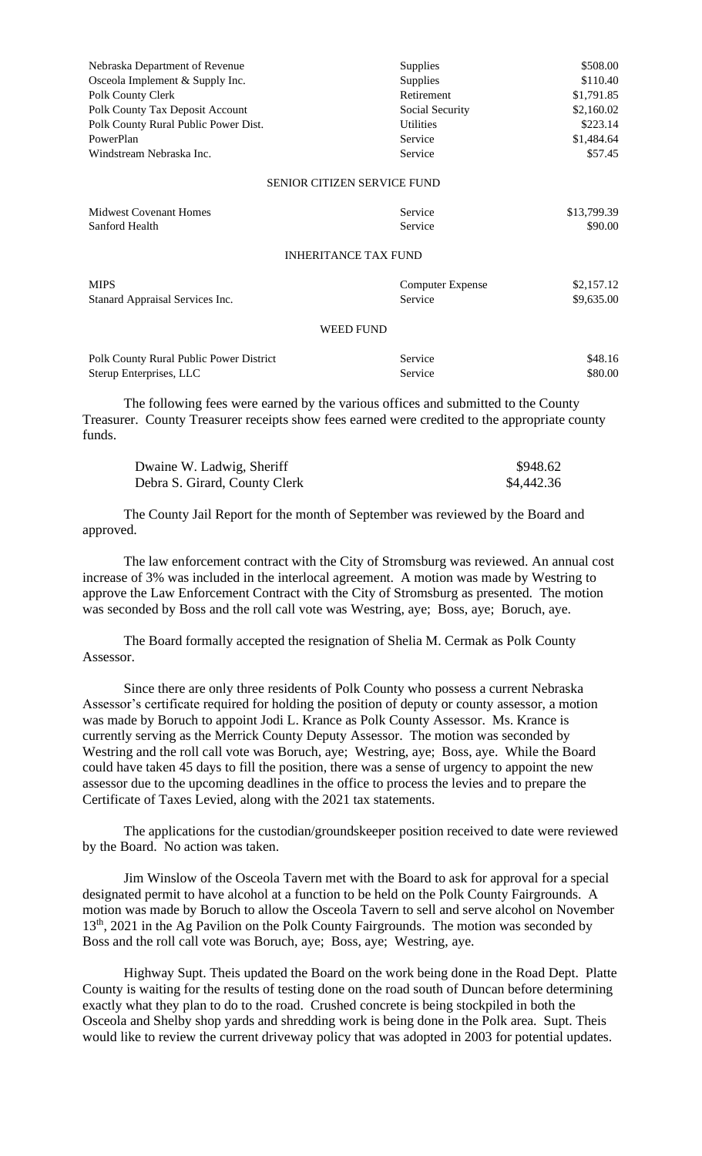| Nebraska Department of Revenue          | Supplies                | \$508.00    |
|-----------------------------------------|-------------------------|-------------|
| Osceola Implement & Supply Inc.         | Supplies                | \$110.40    |
| Polk County Clerk                       | Retirement              | \$1,791.85  |
| Polk County Tax Deposit Account         | Social Security         | \$2,160.02  |
| Polk County Rural Public Power Dist.    | <b>Utilities</b>        | \$223.14    |
| PowerPlan                               | Service                 | \$1,484.64  |
| Windstream Nebraska Inc.                | Service                 | \$57.45     |
| <b>SENIOR CITIZEN SERVICE FUND</b>      |                         |             |
| <b>Midwest Covenant Homes</b>           | Service                 | \$13,799.39 |
| Sanford Health                          | Service                 | \$90.00     |
| <b>INHERITANCE TAX FUND</b>             |                         |             |
| <b>MIPS</b>                             | <b>Computer Expense</b> | \$2,157.12  |
| Stanard Appraisal Services Inc.         | Service                 | \$9,635.00  |
| <b>WEED FUND</b>                        |                         |             |
| Polk County Rural Public Power District | Service                 | \$48.16     |
| Sterup Enterprises, LLC                 | Service                 | \$80.00     |

The following fees were earned by the various offices and submitted to the County Treasurer. County Treasurer receipts show fees earned were credited to the appropriate county funds.

| Dwaine W. Ladwig, Sheriff     | \$948.62   |
|-------------------------------|------------|
| Debra S. Girard, County Clerk | \$4,442.36 |

The County Jail Report for the month of September was reviewed by the Board and approved.

The law enforcement contract with the City of Stromsburg was reviewed. An annual cost increase of 3% was included in the interlocal agreement. A motion was made by Westring to approve the Law Enforcement Contract with the City of Stromsburg as presented. The motion was seconded by Boss and the roll call vote was Westring, aye; Boss, aye; Boruch, aye.

The Board formally accepted the resignation of Shelia M. Cermak as Polk County Assessor.

Since there are only three residents of Polk County who possess a current Nebraska Assessor's certificate required for holding the position of deputy or county assessor, a motion was made by Boruch to appoint Jodi L. Krance as Polk County Assessor. Ms. Krance is currently serving as the Merrick County Deputy Assessor. The motion was seconded by Westring and the roll call vote was Boruch, aye; Westring, aye; Boss, aye. While the Board could have taken 45 days to fill the position, there was a sense of urgency to appoint the new assessor due to the upcoming deadlines in the office to process the levies and to prepare the Certificate of Taxes Levied, along with the 2021 tax statements.

The applications for the custodian/groundskeeper position received to date were reviewed by the Board. No action was taken.

Jim Winslow of the Osceola Tavern met with the Board to ask for approval for a special designated permit to have alcohol at a function to be held on the Polk County Fairgrounds. A motion was made by Boruch to allow the Osceola Tavern to sell and serve alcohol on November 13<sup>th</sup>, 2021 in the Ag Pavilion on the Polk County Fairgrounds. The motion was seconded by Boss and the roll call vote was Boruch, aye; Boss, aye; Westring, aye.

Highway Supt. Theis updated the Board on the work being done in the Road Dept. Platte County is waiting for the results of testing done on the road south of Duncan before determining exactly what they plan to do to the road. Crushed concrete is being stockpiled in both the Osceola and Shelby shop yards and shredding work is being done in the Polk area. Supt. Theis would like to review the current driveway policy that was adopted in 2003 for potential updates.